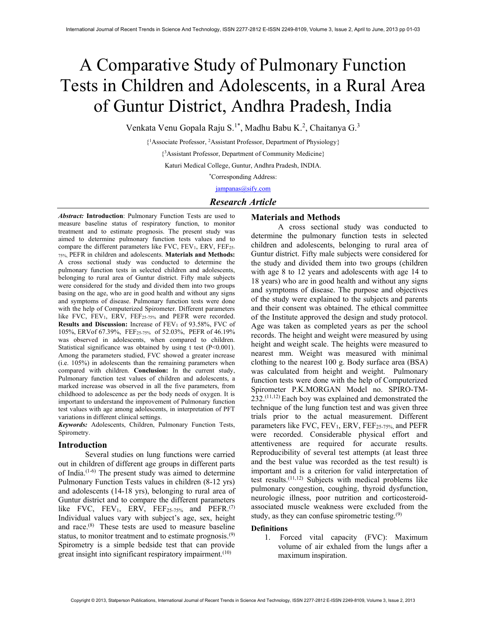# A Comparative Study of Pulmonary Function Tests in Children and Adolescents, in a Rural Area of Guntur District, Andhra Pradesh, India

Venkata Venu Gopala Raju S.<sup>1\*</sup>, Madhu Babu K.<sup>2</sup>, Chaitanya G.<sup>3</sup>

{ <sup>1</sup>Associate Professor, <sup>2</sup>Assistant Professor, Department of Physiology}

{ <sup>3</sup>Assistant Professor, Department of Community Medicine}

Katuri Medical College, Guntur, Andhra Pradesh, INDIA.

\*Corresponding Address:

jampanas@sify.com

# Research Article

Abstract: Introduction: Pulmonary Function Tests are used to measure baseline status of respiratory function, to monitor treatment and to estimate prognosis. The present study was aimed to determine pulmonary function tests values and to compare the different parameters like FVC, FEV<sub>1</sub>, ERV, FEF<sub>25-</sub> 75%, PEFR in children and adolescents. Materials and Methods: A cross sectional study was conducted to determine the pulmonary function tests in selected children and adolescents, belonging to rural area of Guntur district. Fifty male subjects were considered for the study and divided them into two groups basing on the age, who are in good health and without any signs and symptoms of disease. Pulmonary function tests were done with the help of Computerized Spirometer. Different parameters like FVC,  $FEV_1$ ,  $ERV$ ,  $FEF_{25-75\%}$  and  $PEFR$  were recorded. Results and Discussion: Increase of  $FEV<sub>1</sub>$  of 93.58%, FVC of 105%, ERVof 67.39%, FEF25-75% of 52.03%, PEFR of 46.19% was observed in adolescents, when compared to children. Statistical significance was obtained by using t test (P<0.001). Among the parameters studied, FVC showed a greater increase (i.e. 105%) in adolescents than the remaining parameters when compared with children. Conclusion: In the current study, Pulmonary function test values of children and adolescents, a marked increase was observed in all the five parameters, from childhood to adolescence as per the body needs of oxygen. It is important to understand the improvement of Pulmonary function test values with age among adolescents, in interpretation of PFT variations in different clinical settings.

Keywords: Adolescents, Children, Pulmonary Function Tests, Spirometry.

## Introduction

Several studies on lung functions were carried out in children of different age groups in different parts of India.<sup>(1-6)</sup> The present study was aimed to determine Pulmonary Function Tests values in children (8-12 yrs) and adolescents (14-18 yrs), belonging to rural area of Guntur district and to compare the different parameters like FVC, FEV<sub>1</sub>, ERV, FEF<sub>25-75%</sub> and PEFR.<sup>(7)</sup> Individual values vary with subject's age, sex, height and race.(8) These tests are used to measure baseline status, to monitor treatment and to estimate prognosis. $(9)$ Spirometry is a simple bedside test that can provide great insight into significant respiratory impairment.<sup>(10)</sup>

# Materials and Methods

A cross sectional study was conducted to determine the pulmonary function tests in selected children and adolescents, belonging to rural area of Guntur district. Fifty male subjects were considered for the study and divided them into two groups (children with age 8 to 12 years and adolescents with age 14 to 18 years) who are in good health and without any signs and symptoms of disease. The purpose and objectives of the study were explained to the subjects and parents and their consent was obtained. The ethical committee of the Institute approved the design and study protocol. Age was taken as completed years as per the school records. The height and weight were measured by using height and weight scale. The heights were measured to nearest mm. Weight was measured with minimal clothing to the nearest 100 g. Body surface area (BSA) was calculated from height and weight. Pulmonary function tests were done with the help of Computerized Spirometer P.K.MORGAN Model no. SPIRO-TM- $232^{(11,12)}$  Each boy was explained and demonstrated the technique of the lung function test and was given three trials prior to the actual measurement. Different parameters like  $FVC$ ,  $FEV_1$ ,  $ERV$ ,  $FEF_{25-75\%}$ , and  $PEFR$ were recorded. Considerable physical effort and attentiveness are required for accurate results. Reproducibility of several test attempts (at least three and the best value was recorded as the test result) is important and is a criterion for valid interpretation of test results.(11,12) Subjects with medical problems like pulmonary congestion, coughing, thyroid dysfunction, neurologic illness, poor nutrition and corticosteroidassociated muscle weakness were excluded from the study, as they can confuse spirometric testing. $(9)$ 

## Definitions

1. Forced vital capacity (FVC): Maximum volume of air exhaled from the lungs after a maximum inspiration.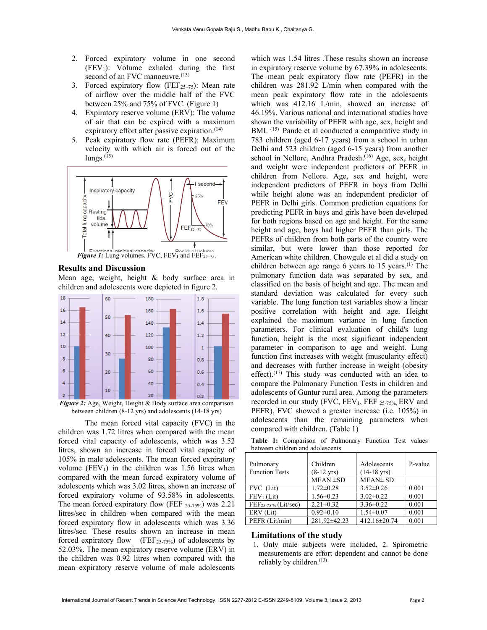- 2. Forced expiratory volume in one second  $(FEV<sub>1</sub>)$ : Volume exhaled during the first second of an FVC manoeuvre.<sup>(13)</sup>
- 3. Forced expiratory flow (FEF $_{25-75}$ ): Mean rate of airflow over the middle half of the FVC between 25% and 75% of FVC. (Figure 1)
- 4. Expiratory reserve volume (ERV): The volume of air that can be expired with a maximum expiratory effort after passive expiration.<sup>(14)</sup>
- 5. Peak expiratory flow rate (PEFR): Maximum velocity with which air is forced out of the  $lungs.$ <sup> $(15)$ </sup>



#### Results and Discussion

Mean age, weight, height & body surface area in children and adolescents were depicted in figure 2.



Figure 2: Age, Weight, Height & Body surface area comparison between children (8-12 yrs) and adolescents (14-18 yrs)

The mean forced vital capacity (FVC) in the children was 1.72 litres when compared with the mean forced vital capacity of adolescents, which was 3.52 litres, shown an increase in forced vital capacity of 105% in male adolescents. The mean forced expiratory volume (FEV<sub>1</sub>) in the children was 1.56 litres when compared with the mean forced expiratory volume of adolescents which was 3.02 litres, shown an increase of forced expiratory volume of 93.58% in adolescents. The mean forced expiratory flow (FEF  $_{25-75\%}$ ) was 2.21 litres/sec in children when compared with the mean forced expiratory flow in adolescents which was 3.36 litres/sec. These results shown an increase in mean forced expiratory flow  $(FEF<sub>25-75%</sub>)$  of adolescents by 52.03%. The mean expiratory reserve volume (ERV) in the children was 0.92 litres when compared with the mean expiratory reserve volume of male adolescents

which was 1.54 litres .These results shown an increase in expiratory reserve volume by 67.39% in adolescents. The mean peak expiratory flow rate (PEFR) in the children was 281.92 L/min when compared with the mean peak expiratory flow rate in the adolescents which was 412.16 L/min, showed an increase of 46.19%. Various national and international studies have shown the variability of PEFR with age, sex, height and BMI. (15) Pande et al conducted a comparative study in 783 children (aged 6-17 years) from a school in urban Delhi and 523 children (aged 6-15 years) from another school in Nellore, Andhra Pradesh.<sup>(16)</sup> Age, sex, height and weight were independent predictors of PEFR in children from Nellore. Age, sex and height, were independent predictors of PEFR in boys from Delhi while height alone was an independent predictor of PEFR in Delhi girls. Common prediction equations for predicting PEFR in boys and girls have been developed for both regions based on age and height. For the same height and age, boys had higher PEFR than girls. The PEFRs of children from both parts of the country were similar, but were lower than those reported for American white children. Chowgule et al did a study on children between age range 6 years to 15 years.<sup>(1)</sup> The pulmonary function data was separated by sex, and classified on the basis of height and age. The mean and standard deviation was calculated for every such variable. The lung function test variables show a linear positive correlation with height and age. Height explained the maximum variance in lung function parameters. For clinical evaluation of child's lung function, height is the most significant independent parameter in comparison to age and weight. Lung function first increases with weight (muscularity effect) and decreases with further increase in weight (obesity effect).<sup> $(17)$ </sup> This study was conducted with an idea to compare the Pulmonary Function Tests in children and adolescents of Guntur rural area. Among the parameters recorded in our study (FVC, FEV<sub>1</sub>, FEF 25-75%, ERV and PEFR), FVC showed a greater increase (i.e. 105%) in adolescents than the remaining parameters when compared with children. (Table 1)

Table 1: Comparison of Pulmonary Function Test values between children and adolescents

| Pulmonary<br><b>Function Tests</b> | Children<br>$(8-12 \text{ yrs})$ | Adolescents<br>$(14-18 \text{ yrs})$ | P-value |
|------------------------------------|----------------------------------|--------------------------------------|---------|
|                                    | $MEAN \pm SD$                    | MEAN± SD                             |         |
| FVC (Lit)                          | $1.72 \pm 0.28$                  | $3.52\pm0.26$                        | 0.001   |
| $FEV1$ (Lit)                       | $1.56 \pm 0.23$                  | $3.02 \pm 0.22$                      | 0.001   |
| FEF <sub>25-75</sub> % (Lit/sec)   | $2.21 \pm 0.32$                  | $3.36 \pm 0.22$                      | 0.001   |
| ERV (Lit)                          | $0.92 \pm 0.10$                  | $1.54 \pm 0.07$                      | 0.001   |
| PEFR (Lit/min)                     | 281.92±42.23                     | 412.16±20.74                         | 0.001   |

#### Limitations of the study

 1. Only male subjects were included, 2. Spirometric measurements are effort dependent and cannot be done reliably by children.<sup>(13)</sup>